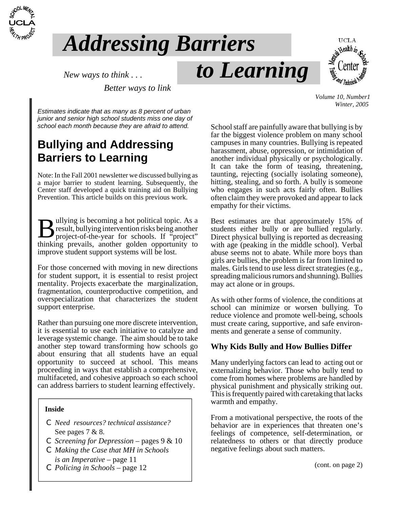

# *Addressing Barriers*

*New ways to think...*  $\boldsymbol{to}$  *to Learning* 



*Better ways to link*

*Estimates indicate that as many as 8 percent of urban junior and senior high school students miss one day of school each month because they are afraid to attend.*

# **Bullying and Addressing Barriers to Learning**

Note: In the Fall 2001 newsletter we discussed bullying as a major barrier to student learning. Subsequently, the Center staff developed a quick training aid on Bullying Prevention. This article builds on this previous work.

Bullying is becoming a hot political topic. As a result, bullying intervention risks being another project-of-the-year for schools. If "project" result, bullying intervention risks being another thinking prevails, another golden opportunity to improve student support systems will be lost.

For those concerned with moving in new directions for student support, it is essential to resist project mentality. Projects exacerbate the marginalization, fragmentation, counterproductive competition, and overspecialization that characterizes the student support enterprise.

Rather than pursuing one more discrete intervention, it is essential to use each initiative to catalyze and leverage systemic change. The aim should be to take another step toward transforming how schools go about ensuring that all students have an equal opportunity to succeed at school. This means proceeding in ways that establish a comprehensive, multifaceted, and cohesive approach so each school can address barriers to student learning effectively.

#### **Inside**

- C *Need resources? technical assistance?* See pages 7 & 8.
- C *Screening for Depression* pages 9 & 10
- C *Making the Case that MH in Schools is an Imperative* – page 11
- C *Policing in Schools* page 12

 *Volume 10, Number1 Winter, 2005* 

School staff are painfully aware that bullying is by far the biggest violence problem on many school campuses in many countries. Bullying is repeated harassment, abuse, oppression, or intimidation of another individual physically or psychologically. It can take the form of teasing, threatening, taunting, rejecting (socially isolating someone), hitting, stealing, and so forth. A bully is someone who engages in such acts fairly often. Bullies often claim they were provoked and appear to lack empathy for their victims.

Best estimates are that approximately 15% of students either bully or are bullied regularly. Direct physical bullying is reported as decreasing with age (peaking in the middle school). Verbal abuse seems not to abate. While more boys than girls are bullies, the problem is far from limited to males. Girls tend to use less direct strategies (e.g., spreading malicious rumors and shunning). Bullies may act alone or in groups.

As with other forms of violence, the conditions at school can minimize or worsen bullying. To reduce violence and promote well-being, schools must create caring, supportive, and safe environments and generate a sense of community.

### **Why Kids Bully and How Bullies Differ**

Many underlying factors can lead to acting out or externalizing behavior. Those who bully tend to come from homes where problems are handled by physical punishment and physically striking out. This is frequently paired with caretaking that lacks warmth and empathy.

From a motivational perspective, the roots of the behavior are in experiences that threaten one's feelings of competence, self-determination, or relatedness to others or that directly produce negative feelings about such matters.

(cont. on page 2)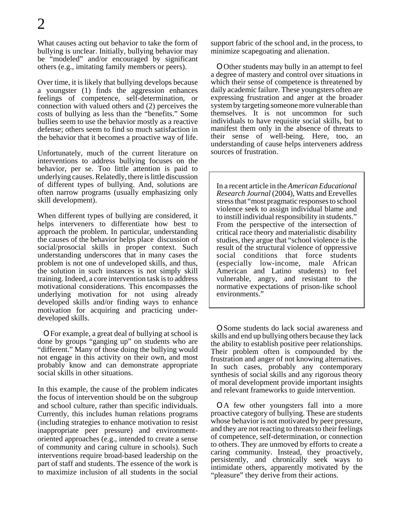What causes acting out behavior to take the form of bullying is unclear. Initially, bullying behavior may be "modeled" and/or encouraged by significant others (e.g., imitating family members or peers).

Over time, it is likely that bullying develops because a youngster (1) finds the aggression enhances feelings of competence, self-determination, or connection with valued others and (2) perceives the costs of bullying as less than the "benefits." Some bullies seem to use the behavior mostly as a reactive defense; others seem to find so much satisfaction in the behavior that it becomes a proactive way of life.

Unfortunately, much of the current literature on interventions to address bullying focuses on the behavior, per se. Too little attention is paid to underlying causes. Relatedly, there is little discussion of different types of bullying. And, solutions are often narrow programs (usually emphasizing only skill development).

When different types of bullying are considered, it helps interveners to differentiate how best to approach the problem. In particular, understanding the causes of the behavior helps place discussion of social/prosocial skills in proper context. Such understanding underscores that in many cases the problem is not one of undeveloped skills, and thus, the solution in such instances is not simply skill training. Indeed, a core intervention task is to address motivational considerations. This encompasses the underlying motivation for not using already developed skills and/or finding ways to enhance motivation for acquiring and practicing underdeveloped skills.

OFor example, a great deal of bullying at school is done by groups "ganging up" on students who are "different." Many of those doing the bullying would not engage in this activity on their own, and most probably know and can demonstrate appropriate social skills in other situations.

In this example, the cause of the problem indicates the focus of intervention should be on the subgroup and school culture, rather than specific individuals. Currently, this includes human relations programs (including strategies to enhance motivation to resist inappropriate peer pressure) and environmentoriented approaches (e.g., intended to create a sense of community and caring culture in schools). Such interventions require broad-based leadership on the part of staff and students. The essence of the work is to maximize inclusion of all students in the social

support fabric of the school and, in the process, to minimize scapegoating and alienation.

**O**Other students may bully in an attempt to feel a degree of mastery and control over situations in which their sense of competence is threatened by daily academic failure. These youngsters often are expressing frustration and anger at the broader system by targeting someone more vulnerable than themselves. It is not uncommon for such individuals to have requisite social skills, but to manifest them only in the absence of threats to their sense of well-being. Here, too, an understanding of cause helps interveners address sources of frustration.

In a recent article in the *American Educational Research Journal* (2004), Watts and Erevelles stress that "most pragmatic responses to school violence seek to assign individual blame and to instill individual responsibility in students." From the perspective of the intersection of critical race theory and materialistic disability studies, they argue that "school violence is the result of the structural violence of oppressive social conditions that force students (especially low-income, male African American and Latino students) to feel vulnerable, angry, and resistant to the normative expectations of prison-like school environments."

OSome students do lack social awareness and skills and end up bullying others because they lack the ability to establish positive peer relationships. Their problem often is compounded by the frustration and anger of not knowing alternatives. In such cases, probably any contemporary synthesis of social skills and any rigorous theory of moral development provide important insights and relevant frameworks to guide intervention.

OA few other youngsters fall into a more proactive category of bullying. These are students whose behavior is not motivated by peer pressure, and they are not reacting to threats to their feelings of competence, self-determination, or connection to others. They are unmoved by efforts to create a caring community. Instead, they proactively, persistently, and chronically seek ways to intimidate others, apparently motivated by the "pleasure" they derive from their actions.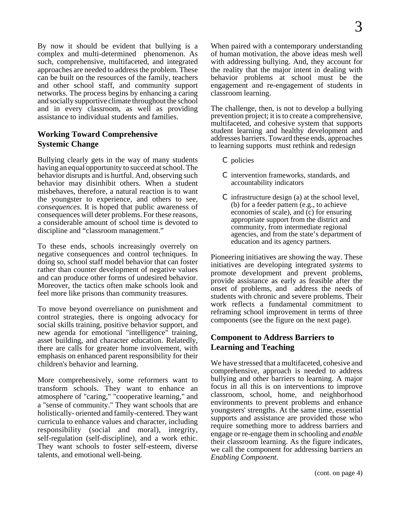By now it should be evident that bullying is a complex and multi-determined phenomenon. As such, comprehensive, multifaceted, and integrated approaches are needed to address the problem. These can be built on the resources of the family, teachers and other school staff, and community support networks. The process begins by enhancing a caring and socially supportive climate throughout the school and in every classroom, as well as providing assistance to individual students and families.

### **Working Toward Comprehensive Systemic Change**

Bullying clearly gets in the way of many students having an equal opportunity to succeed at school. The behavior disrupts and is hurtful. And, observing such behavior may disinhibit others. When a student misbehaves, therefore, a natural reaction is to want the youngster to experience, and others to see, *consequences*. It is hoped that public awareness of consequences will deter problems. For these reasons, a considerable amount of school time is devoted to discipline and "classroom management."

To these ends, schools increasingly overrely on negative consequences and control techniques. In doing so, school staff model behavior that can foster rather than counter development of negative values and can produce other forms of undesired behavior. Moreover, the tactics often make schools look and feel more like prisons than community treasures.

To move beyond overreliance on punishment and control strategies, there is ongoing advocacy for social skills training, positive behavior support, and new agenda for emotional "intelligence" training, asset building, and character education. Relatedly, there are calls for greater home involvement, with emphasis on enhanced parent responsibility for their children's behavior and learning.

More comprehensively, some reformers want to transform schools. They want to enhance an atmosphere of "caring," "cooperative learning," and a "sense of community." They want schools that are holistically- oriented and family-centered. They want curricula to enhance values and character, including responsibility (social and moral), integrity, self-regulation (self-discipline), and a work ethic. They want schools to foster self-esteem, diverse talents, and emotional well-being.

When paired with a contemporary understanding of human motivation, the above ideas mesh well with addressing bullying. And, they account for the reality that the major intent in dealing with behavior problems at school must be the engagement and re-engagement of students in classroom learning.

The challenge, then, is not to develop a bullying prevention project; it is to create a comprehensive, multifaceted, and cohesive system that supports student learning and healthy development and addresses barriers. Toward these ends, approaches to learning supports must rethink and redesign

- C policies
- C intervention frameworks, standards, and accountability indicators
- C infrastructure design (a) at the school level, (b) for a feeder pattern (e.g., to achieve economies of scale), and (c) for ensuring appropriate support from the district and community, from intermediate regional agencies, and from the state's department of education and its agency partners.

Pioneering initiatives are showing the way. These initiatives are developing integrated *systems* to promote development and prevent problems, provide assistance as early as feasible after the onset of problems, and address the needs of students with chronic and severe problems. Their work reflects a fundamental commitment to reframing school improvement in terms of three components (see the figure on the next page).

### **Component to Address Barriers to Learning and Teaching**

We have stressed that a multifaceted, cohesive and comprehensive, approach is needed to address bullying and other barriers to learning. A major focus in all this is on interventions to improve classroom, school, home, and neighborhood environments to prevent problems and enhance youngsters' strengths. At the same time, essential supports and assistance are provided those who require something more to address barriers and engage or re-engage them in schooling and *enable* their classroom learning. As the figure indicates, we call the component for addressing barriers an *Enabling Component*.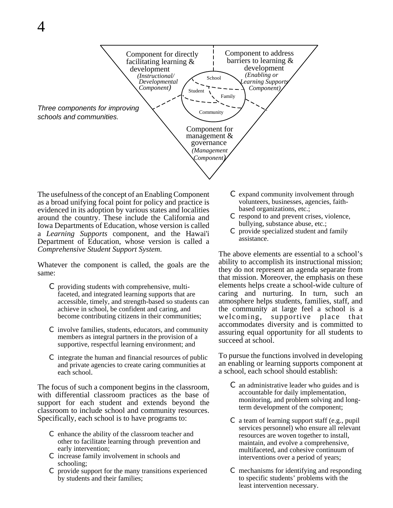

The usefulness of the concept of an Enabling Component as a broad unifying focal point for policy and practice is evidenced in its adoption by various states and localities around the country. These include the California and Iowa Departments of Education, whose version is called a *Learning Supports* component, and the Hawai'i Department of Education, whose version is called a *Comprehensive Student Support System.*

Whatever the component is called, the goals are the same:

- C providing students with comprehensive, multifaceted, and integrated learning supports that are accessible, timely, and strength-based so students can achieve in school, be confident and caring, and become contributing citizens in their communities;
- C involve families, students, educators, and community members as integral partners in the provision of a supportive, respectful learning environment; and
- C integrate the human and financial resources of public and private agencies to create caring communities at each school.

The focus of such a component begins in the classroom, with differential classroom practices as the base of support for each student and extends beyond the classroom to include school and community resources. Specifically, each school is to have programs to:

- C enhance the ability of the classroom teacher and other to facilitate learning through prevention and early intervention;
- C increase family involvement in schools and schooling;
- C provide support for the many transitions experienced by students and their families;
- C expand community involvement through volunteers, businesses, agencies, faithbased organizations, etc.;
- C respond to and prevent crises, violence, bullying, substance abuse, etc.;
- C provide specialized student and family assistance.

The above elements are essential to a school's ability to accomplish its instructional mission; they do not represent an agenda separate from that mission. Moreover, the emphasis on these elements helps create a school-wide culture of caring and nurturing. In turn, such an atmosphere helps students, families, staff, and the community at large feel a school is a welcoming, supportive place that accommodates diversity and is committed to assuring equal opportunity for all students to succeed at school.

To pursue the functions involved in developing an enabling or learning supports component at a school, each school should establish:

- C an administrative leader who guides and is accountable for daily implementation, monitoring, and problem solving and longterm development of the component;
- C a team of learning support staff (e.g., pupil services personnel) who ensure all relevant resources are woven together to install, maintain, and evolve a comprehensive, multifaceted, and cohesive continuum of interventions over a period of years;
- C mechanisms for identifying and responding to specific students' problems with the least intervention necessary.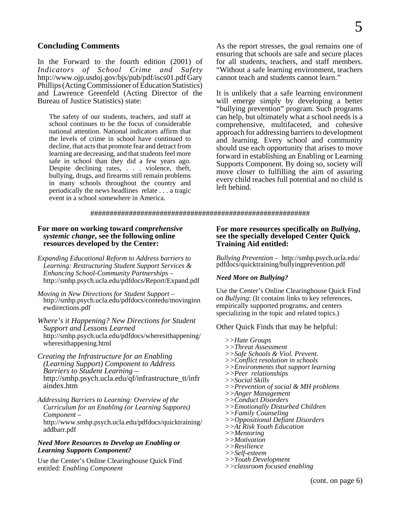### **Concluding Comments**

In the Forward to the fourth edition (2001) of *Indicators of School Crime and Safety* http://www.ojp.usdoj.gov/bjs/pub/pdf/iscs01.pdf Gary Phillips (Acting Commissioner of Education Statistics) and Lawrence Greenfeld (Acting Director of the Bureau of Justice Statistics) state:

The safety of our students, teachers, and staff at school continues to be the focus of considerable national attention. National indicators affirm that the levels of crime in school have continued to decline, that acts that promote fear and detract from learning are decreasing, and that students feel more safe in school than they did a few years ago. Despite declining rates, . . . violence, theft, bullying, drugs, and firearms still remain problems in many schools throughout the country and periodically the news headlines relate . . . a tragic event in a school somewhere in America.

As the report stresses, the goal remains one of ensuring that schools are safe and secure places for all students, teachers, and staff members. "Without a safe learning environment, teachers cannot teach and students cannot learn."

It is unlikely that a safe learning environment will emerge simply by developing a better "bullying prevention" program. Such programs can help, but ultimately what a school needs is a comprehensive, multifaceted, and cohesive approach for addressing barriers to development and learning. Every school and community should use each opportunity that arises to move forward in establishing an Enabling or Learning Supports Component. By doing so, society will move closer to fulfilling the aim of assuring every child reaches full potential and no child is left behind.

#### #########################################################

#### **For more on working toward** *comprehensive systemic change***, see the following online resources developed by the Center:**

- *Expanding Educational Reform to Address barriers to Learning: Restructuring Student Support Services & Enhancing School-Community Partnerships* – http://smhp.psych.ucla.edu/pdfdocs/Report/Expand.pdf
- *Moving in New Directions for Student Support* http://smhp.psych.ucla.edu/pdfdocs/contedu/movinginn ewdirections.pdf

#### *Where's it Happening? New Directions for Student Support and Lessons Learned* http://smhp.psych.ucla.edu/pdfdocs/wheresithappening/ wheresithappening.html

- *Creating the Infrastructure for an Enabling (Learning Support) Component to Address Barriers to Student Learning* – http://smhp.psych.ucla.edu/qf/infrastructure\_tt/infr aindex.htm
- *Addressing Barriers to Learning: Overview of the Curriculum for an Enabling (or Learning Supports) Component* – http://www.smhp.psych.ucla.edu/pdfdocs/quicktraining/ addbarr.pdf

### *Need More Resources to Develop an Enabling or Learning Supports Component?*

Use the Center's Online Clearinghouse Quick Find entitled: *Enabling Component*

## **For more resources specifically on** *Bullying***, see the specially developed Center Quick Training Aid entitled:**

*Bullying Prevention* – http://smhp.psych.ucla.edu/ pdfdocs/quicktraining/bullyingprevention.pdf

### *Need More on Bullying?*

Use the Center's Online Clearinghouse Quick Find on *Bullying*: (It contains links to key references, empirically supported programs, and centers specializing in the topic and related topics.)

Other Quick Finds that may be helpful:

*>>Hate Groups >>Threat Assessment >>Safe Schools & Viol. Prevent. >>Conflict resolution in schools >>Environments that support learning >>Peer relationships >>Social Skills >>Prevention of social & MH problems >>Anger Management >>Conduct Disorders >>Emotionally Disturbed Children >>Family Counseling >>Oppositional Defiant Disorders >>At Risk Youth Education >>Mentoring >>Motivation >>Resilience >>Self-esteem >>Youth Development >>classroom focused enabling*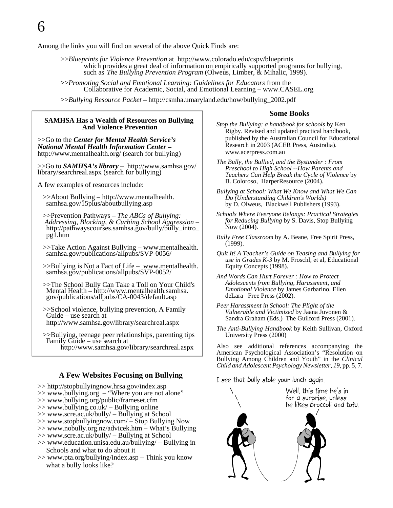6

Among the links you will find on several of the above Quick Finds are:

>>*Blueprints for Violence Prevention* at http://www.colorado.edu/cspv/blueprints which provides a great deal of information on empirically supported programs for bullying, such as *The Bullying Prevention Program* (Olweus, Limber, & Mihalic, 1999). >>*Promoting Social and Emotional Learning: Guidelines for Educators* from the

Collaborative for Academic, Social, and Emotional Learning – www.CASEL.org

>>*Bullying Resource Packet* – http://csmha.umaryland.edu/how/bullying\_2002.pdf

#### **SAMHSA Has a Wealth of Resources on Bullying And Violence Prevention**

>>Go to the *Center for Mental Health Service's National Mental Health Information Center –*  http://www.mentalhealth.org/ (search for bullying)

>>Go to *SAMHSA's library* – http://www.samhsa.gov/ library/searchreal.aspx (search for bullying)

A few examples of resources include:

- >>About Bullying http://www.mentalhealth. samhsa.gov/15plus/aboutbullying.asp
- >>Prevention Pathways *The ABCs of Bullying: Addressing, Blocking, & Curbing School Aggression* http://pathwayscourses.samhsa.gov/bully/bully\_intro\_ pg1.htm
- >>Take Action Against Bullying www.mentalhealth. samhsa.gov/publications/allpubs/SVP-0056/
- >>Bullying is Not a Fact of Life www.mentalhealth. samhsa.gov/publications/allpubs/SVP-0052/
- >>The School Bully Can Take a Toll on Your Child's gov/publications/allpubs/CA-0043/default.asp
- >>School violence, bullying prevention, A Family Guide – use search at http://www.samhsa.gov/library/searchreal.aspx

 >>Bullying, teenage peer relationships, parenting tips Family Guide – use search at http://www.samhsa.gov/library/searchreal.aspx

#### **A Few Websites Focusing on Bullying**

- >> http://stopbullyingnow.hrsa.gov/index.asp
- $\gg$  www.bullying.org "Where you are not alone"
- >> www.bullying.org/public/frameset.cfm
- >> www.bullying.co.uk/ Bullying online
- >> www.scre.ac.uk/bully/ Bullying at School
- >> www.stopbullyingnow.com/ Stop Bullying Now
- >> www.nobully.org.nz/advicek.htm What's Bullying
- >> www.scre.ac.uk/bully/ Bullying at School
- >> www.education.unisa.edu.au/bullying/ Bullying in Schools and what to do about it
- >> www.pta.org/bullying/index.asp Think you know what a bully looks like?

#### **Some Books**

- *Stop the Bullying: a handbook for schools* by Ken Rigby. Revised and updated practical handbook, published by the Australian Council for Educational Research in 2003 (ACER Press, Australia). www.acerpress.com.au
- *The Bully, the Bullied, and the Bystander : From Preschool to High School --How Parents and Teachers Can Help Break the Cycle of Violence* by B. Coloroso, HarperResource (2004).
- *Bullying at School: What We Know and What We Can Do (Understanding Children's Worlds)* by D. Olweus, Blackwell Publishers (1993).
- *Schools Where Everyone Belongs: Practical Strategies for Reducing Bullying* by S. Davis, Stop Bullying Now (2004).
- *Bully Free Classroom* by A. Beane, Free Spirit Press, (1999).
- *Quit It! A Teacher's Guide on Teasing and Bullying for use in Grades K-3* by M. Froschl, et al, Educational Equity Concepts (1998).
- *And Words Can Hurt Forever : How to Protect Adolescents from Bullying, Harassment, and Emotional Violence* by James Garbarino, Ellen deLara Free Press (2002).
- *Peer Harassment in School: The Plight of the Vulnerable and Victimized* by Jaana Juvonen & Sandra Graham (Eds.) The Guilford Press (2001).
- *The Anti-Bullying Handbook* by Keith Sullivan, Oxford University Press (2000)

Also see additional references accompanying the American Psychological Association's "Resolution on Bullying Among Children and Youth" in the *Clinical Child and Adolescent Psychology Newsletter, 19*, pp. 5, 7.

### I see that bully stole your lunch again.

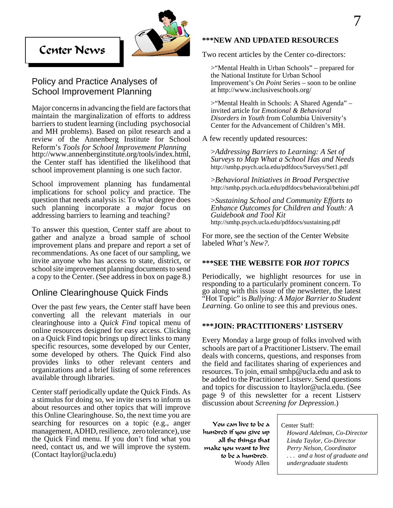



### Policy and Practice Analyses of School Improvement Planning

Major concerns in advancing the field are factors that maintain the marginalization of efforts to address barriers to student learning (including psychosocial and MH problems). Based on pilot research and a review of the Annenberg Institute for School Reform's *Tools for School Improvement Planning* http://www.annenberginstitute.org/tools/index.html, the Center staff has identified the likelihood that school improvement planning is one such factor.

School improvement planning has fundamental implications for school policy and practice. The question that needs analysis is: To what degree does such planning incorporate a *major* focus on addressing barriers to learning and teaching?

To answer this question, Center staff are about to gather and analyze a broad sample of school improvement plans and prepare and report a set of recommendations. As one facet of our sampling, we invite anyone who has access to state, district, or school site improvement planning documents to send a copy to the Center. (See address in box on page 8.)

### Online Clearinghouse Quick Finds

Over the past few years, the Center staff have been converting all the relevant materials in our clearinghouse into a *Quick Find* topical menu of online resources designed for easy access. Clicking on a Quick Find topic brings up direct links to many specific resources, some developed by our Center, some developed by others. The Quick Find also provides links to other relevant centers and organizations and a brief listing of some references available through libraries.

Center staff periodically update the Quick Finds. As a stimulus for doing so, we invite users to inform us about resources and other topics that will improve this Online Clearinghouse. So, the next time you are searching for resources on a topic (e.g., anger management, ADHD, resilience, zero tolerance), use the Quick Find menu. If you don't find what you need, contact us, and we will improve the system. (Contact ltaylor@ucla.edu)

### **\*\*\*NEW AND UPDATED RESOURCES**

Two recent articles by the Center co-directors:

>"Mental Health in Urban Schools" – prepared for the National Institute for Urban School Improvement's *On Point* Series – soon to be online at http://www.inclusiveschools.org/

>"Mental Health in Schools: A Shared Agenda" – invited article for *Emotional & Behavioral Disorders in Youth* from Columbia University's Center for the Advancement of Children's MH.

A few recently updated resources:

 >*Addressing Barriers to Learning: A Set of Surveys to Map What a School Has and Needs* http://smhp.psych.ucla.edu/pdfdocs/Surveys/Set1.pdf

 >*Behavioral Initiatives in Broad Perspective* http://smhp.psych.ucla.edu/pdfdocs/behavioral/behini.pdf

>*Sustaining School and Community Efforts to Enhance Outcomes for Children and Youth: A Guidebook and Tool Kit* http://smhp.psych.ucla.edu/pdfdocs/sustaining.pdf

For more, see the section of the Center Website labeled *What's New?.* 

#### **\*\*\*SEE THE WEBSITE FOR** *HOT TOPICS*

Periodically, we highlight resources for use in responding to a particularly prominent concern. To go along with this issue of the newsletter, the latest "Hot Topic" is *Bullying: A Major Barrier to Student Learning.* Go online to see this and previous ones.

#### **\*\*\*JOIN: PRACTITIONERS' LISTSERV**

Every Monday a large group of folks involved with schools are part of a Practitioner Listserv. The email deals with concerns, questions, and responses from the field and facilitates sharing of experiences and resources. To join, email smhp@ucla.edu and ask to be added to the Practitioner Listserv. Send questions and topics for discussion to ltaylor@ucla.edu. (See page 9 of this newsletter for a recent Listserv discussion about *Screening for Depression*.)

You can live to be a hundred if you give up all the things that make you want to live to be a hundred. Woody Allen

Center Staff:

*Howard Adelman, Co-Director Linda Taylor, Co-Director Perry Nelson, Coordinator . . . and a host of graduate and undergraduate students*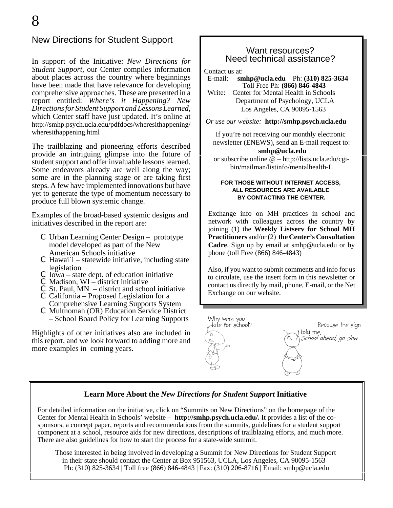### New Directions for Student Support

In support of the Initiative: *New Directions for Student Support*, our Center compiles information about places across the country where beginnings have been made that have relevance for developing comprehensive approaches. These are presented in a report entitled: *Where's it Happening? New Directions for Student Support and Lessons Learned*, which Center staff have just updated. It's online at http://smhp.psych.ucla.edu/pdfdocs/wheresithappening/ wheresithappening.html

The trailblazing and pioneering efforts described provide an intriguing glimpse into the future of student support and offer invaluable lessons learned. Some endeavors already are well along the way; some are in the planning stage or are taking first steps. A few have implemented innovations but have yet to generate the type of momentum necessary to produce full blown systemic change.

Examples of the broad-based systemic designs and initiatives described in the report are:

- C Urban Learning Center Design prototype model developed as part of the New American Schools initiative
- $C$  Hawai`i statewide initiative, including state
- legislation <sup>C</sup> Iowa state dept. of education initiative <sup>C</sup> Madison, WI district initiative
- 
- $\textcircled{c}$  St. Paul, MN district and school initiative
- C California Proposed Legislation for a
- Comprehensive Learning Supports System <sup>C</sup> Multnomah (OR) Education Service District – School Board Policy for Learning Supports

Highlights of other initiatives also are included in this report, and we look forward to adding more and more examples in coming years.

### Want resources? Need technical assistance?

Contact us at:<br>E-mail: sn

E-mail: **smhp@ucla.edu** Ph: **(310) 825-3634** Toll Free Ph: **(866) 846-4843** Write: Center for Mental Health in Schools Department of Psychology, UCLA Los Angeles, CA 90095-1563

*Or use our website:* **http://smhp.psych.ucla.edu**

If you're not receiving our monthly electronic newsletter (ENEWS), send an E-mail request to:  **smhp@ucla.edu** or subscribe online @ – http://lists.ucla.edu/cgi-

bin/mailman/listinfo/mentalhealth-L

#### **FOR THOSE WITHOUT INTERNET ACCESS, ALL RESOURCES ARE AVAILABLE BY CONTACTING THE CENTER.**

Exchange info on MH practices in school and network with colleagues across the country by joining (1) the **Weekly Listserv for School MH Practitioners** and/or (2) **the Center's Consultation Cadre**. Sign up by email at smhp@ucla.edu or by phone (toll Free (866) 846-4843)

Also, if you want to submit comments and info for us to circulate, use the insert form in this newsletter or contact us directly by mail, phone, E-mail, or the Net Exchange on our website.



School ahead, go slow.

### **Learn More About the** *New Directions for Student Support* **Initiative**

For detailed information on the initiative, click on "Summits on New Directions" on the homepage of the Center for Mental Health in Schools' website – **http://smhp.psych.ucla.edu/.** It provides a list of the cosponsors, a concept paper, reports and recommendations from the summits, guidelines for a student support component at a school, resource aids for new directions, descriptions of trailblazing efforts, and much more. There are also guidelines for how to start the process for a state-wide summit.

Those interested in being involved in developing a Summit for New Directions for Student Support in their state should contact the Center at Box 951563, UCLA, Los Angeles, CA 90095-1563 Ph: (310) 825-3634 | Toll free (866) 846-4843 | Fax: (310) 206-8716 | Email: smhp@ucla.edu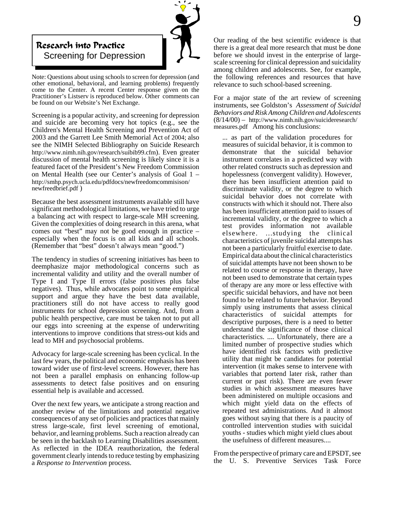

Note: Questions about using schools to screen for depression (and other emotional, behavioral, and learning problems) frequently come to the Center. A recent Center response given on the Practitioner's Listserv is reproduced below. Other comments can be found on our Website's Net Exchange.

Screening is a popular activity, and screening for depression and suicide are becoming very hot topics (e.g., see the Children's Mental Health Screening and Prevention Act of 2003 and the Garrett Lee Smith Memorial Act of 2004; also see the NIMH Selected Bibliography on Suicide Research http://www.nimh.nih.gov/research/suibib99.cfm). Even greater discussion of mental health screening is likely since it is a featured facet of the President's New Freedom Commission on Mental Health (see our Center's analysis of Goal 1 – http://smhp.psych.ucla.edu/pdfdocs/newfreedomcommisison/ newfreedbrief.pdf )

Because the best assessment instruments available still have significant methodological limitations, we have tried to urge a balancing act with respect to large-scale MH screening. Given the complexities of doing research in this arena, what comes out "best" may not be good enough in practice – especially when the focus is on all kids and all schools. (Remember that "best" doesn't always mean "good.")

The tendency in studies of screening initiatives has been to deemphasize major methodological concerns such as incremental validity and utility and the overall number of Type I and Type II errors (false positives plus false negatives). Thus, while advocates point to some empirical support and argue they have the best data available, practitioners still do not have access to really good instruments for school depression screening. And, from a public health perspective, care must be taken not to put all our eggs into screening at the expense of underwriting interventions to improve conditions that stress-out kids and lead to MH and psychosocial problems.

Advocacy for large-scale screening has been cyclical. In the last few years, the political and economic emphasis has been toward wider use of first-level screens. However, there has not been a parallel emphasis on enhancing follow-up assessments to detect false positives and on ensuring essential help is available and accessed.

Over the next few years, we anticipate a strong reaction and another review of the limitations and potential negative consequences of any set of policies and practices that mainly stress large-scale, first level screening of emotional, behavior, and learning problems. Such a reaction already can be seen in the backlash to Learning Disabilities assessment. As reflected in the IDEA reauthorization, the federal government clearly intends to reduce testing by emphasizing a *Response to Intervention* process.

Our reading of the best scientific evidence is that there is a great deal more research that must be done before we should invest in the enterprise of largescale screening for clinical depression and suicidality among children and adolescents. See, for example, the following references and resources that have relevance to such school-based screening.

For a major state of the art review of screening instruments, see Goldston's *Assessment of Suicidal Behaviors and Risk Among Children and Adolescents* (8/14/00) – http://www.nimh.nih.gov/suicideresearch/ measures.pdf Among his conclusions:

... as part of the validation procedures for measures of suicidal behavior, it is common to demonstrate that the suicidal behavior instrument correlates in a predicted way with other related constructs such as depression and hopelessness (convergent validity). However, there has been insufficient attention paid to discriminate validity, or the degree to which suicidal behavior does not correlate with constructs with which it should not. There also has been insufficient attention paid to issues of incremental validity, or the degree to which a test provides information not available elsewhere. ...studying the clinical characteristics of juvenile suicidal attempts has not been a particularly fruitful exercise to date. Empirical data about the clinical characteristics of suicidal attempts have not been shown to be related to course or response in therapy, have not been used to demonstrate that certain types of therapy are any more or less effective with specific suicidal behaviors, and have not been found to be related to future behavior. Beyond simply using instruments that assess clinical characteristics of suicidal attempts for descriptive purposes, there is a need to better understand the significance of those clinical characteristics. .... Unfortunately, there are a limited number of prospective studies which have identified risk factors with predictive utility that might be candidates for potential intervention (it makes sense to intervene with variables that portend later risk, rather than current or past risk). There are even fewer studies in which assessment measures have been administered on multiple occasions and which might yield data on the effects of repeated test administrations. And it almost goes without saying that there is a paucity of controlled intervention studies with suicidal youths - studies which might yield clues about the usefulness of different measures....

From the perspective of primary care and EPSDT, see the U. S. Preventive Services Task Force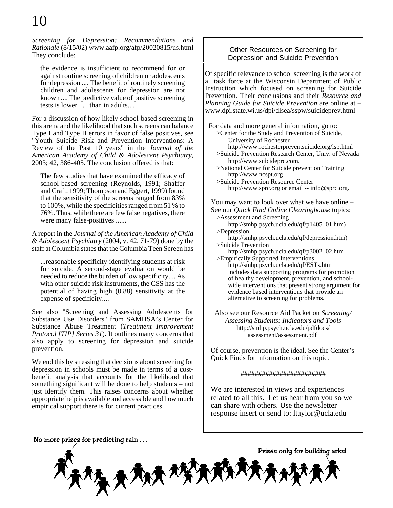*Screening for Depression: Recommendations and Rationale* (8/15/02) www.aafp.org/afp/20020815/us.html They conclude:

the evidence is insufficient to recommend for or against routine screening of children or adolescents for depression .... The benefit of routinely screening children and adolescents for depression are not known .... The predictive value of positive screening tests is lower . . . than in adults....

For a discussion of how likely school-based screening in this arena and the likelihood that such screens can balance Type I and Type II errors in favor of false positives, see "Youth Suicide Risk and Prevention Interventions: A Review of the Past 10 years" in the *Journal of the American Academy of Child & Adolescent Psychiatry,* 2003; 42, 386-405. The conclusion offered is that:

The few studies that have examined the efficacy of school-based screening (Reynolds, 1991; Shaffer and Craft, 1999; Thompson and Eggert, 1999) found that the sensitivity of the screens ranged from 83% to 100%, while the specificities ranged from 51 % to 76%. Thus, while there are few false negatives, there were many false-positives ......

A report in the *Journal of the American Academy of Child & Adolescent Psychiatry* (2004, v. 42, 71-79) done by the staff at Columbia states that the Columbia Teen Screen has

...reasonable specificity identifying students at risk for suicide. A second-stage evaluation would be needed to reduce the burden of low specificity.... As with other suicide risk instruments, the CSS has the potential of having high (0.88) sensitivity at the expense of specificity....

See also "Screening and Assessing Adolescents for Substance Use Disorders" from SAMHSA's Center for Substance Abuse Treatment (*Treatment Improvement Protocol [TIP] Series 31*). It outlines many concerns that also apply to screening for depression and suicide prevention.

We end this by stressing that decisions about screening for depression in schools must be made in terms of a costbenefit analysis that accounts for the likelihood that something significant will be done to help students – not just identify them. This raises concerns about whether appropriate help is available and accessible and how much empirical support there is for current practices.

### Other Resources on Screening for Depression and Suicide Prevention

Of specific relevance to school screening is the work of a task force at the Wisconsin Department of Public Instruction which focused on screening for Suicide Prevention. Their conclusions and their *Resource and Planning Guide for Suicide Prevention* are online at – www.dpi.state.wi.us/dpi/dlsea/sspw/suicideprev.html

 For data and more general information, go to: >Center for the Study and Prevention of Suicide, University of Rochester http://www.rochesterpreventsuicide.org/lsp.html >Suicide Prevention Research Center, Univ. of Nevada http://www.suicideprc.com. >National Center for Suicide prevention Training http://www.ncspt.org >Suicide Prevention Resource Center http://www.sprc.org or email -- info@sprc.org. You may want to look over what we have online – See our *Quick Find Online Clearinghouse* topics: >Assessment and Screening http://smhp.psych.ucla.edu/qf/p1405\_01 htm)

>Depression http://smhp.psych.ucla.edu/qf/depression.htm) >Suicide Prevention http://smhp.psych.ucla.edu/qf/p3002\_02.htm

>Empirically Supported Interventions http://smhp.psych.ucla.edu/qf/ESTs.htm includes data supporting programs for promotion of healthy development, prevention, and schoolwide interventions that present strong argument for evidence based interventions that provide an alternative to screening for problems.

Also see our Resource Aid Packet on *Screening/ Assessing Students: Indicators and Tools* http://smhp.psych.ucla.edu/pdfdocs/ assessment/assessment.pdf

Of course, prevention is the ideal. See the Center's Quick Finds for information on this topic.

########################

We are interested in views and experiences related to all this. Let us hear from you so we can share with others. Use the newsletter response insert or send to: ltaylor@ucla.edu

\

 $\langle \bigwedge \hspace{-0.15cm}\bigwedge \hspace{-0.15cm}\bigwedge \hspace{-0.15cm}\mathcal{P} \bigwedge \hspace{-0.15cm}\bigwedge \hspace{-0.15cm}\bigwedge$ 

No more prizes for predicting rain  $\dots$ 

Prizes only for building arks!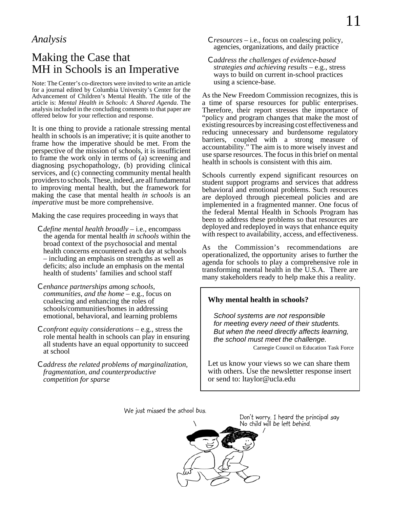### *Analysis*

# Making the Case that MH in Schools is an Imperative

Note: The Center's co-directors were invited to write an article for a journal edited by Columbia University's Center for the Advancement of Children's Mental Health. The title of the article is: *Mental Health in Schools: A Shared Agenda*. The analysis included in the concluding comments to that paper are offered below for your reflection and response.

It is one thing to provide a rationale stressing mental health in schools is an imperative; it is quite another to frame how the imperative should be met. From the perspective of the mission of schools, it is insufficient to frame the work only in terms of (a) screening and diagnosing psychopathology, (b) providing clinical services, and (c) connecting community mental health providers to schools. These, indeed, are all fundamental to improving mental health, but the framework for making the case that mental health *in schools* is an *imperative* must be more comprehensive.

Making the case requires proceeding in ways that

- C *define mental health broadly* i.e., encompass the agenda for mental health *in schools* within the broad context of the psychosocial and mental health concerns encountered each day at schools – including an emphasis on strengths as well as deficits; also include an emphasis on the mental health of students' families and school staff
- C *enhance partnerships among schools, communities, and the home* – e.g., focus on coalescing and enhancing the roles of schools/communities/homes in addressing emotional, behavioral, and learning problems
- C *confront equity considerations* e.g., stress the role mental health in schools can play in ensuring all students have an equal opportunity to succeed at school
- C *address the related problems of marginalization, fragmentation, and counterproductive competition for sparse*
- <sup>C</sup> *resources* i.e., focus on coalescing policy, agencies, organizations, and daily practice
- C *address the challenges of evidence-based strategies and achieving results* – e.g., stress ways to build on current in-school practices using a science-base.

As the New Freedom Commission recognizes, this is a time of sparse resources for public enterprises. Therefore, their report stresses the importance of "policy and program changes that make the most of existing resources by increasing cost effectiveness and reducing unnecessary and burdensome regulatory barriers, coupled with a strong measure of accountability." The aim is to more wisely invest and use sparse resources. The focus in this brief on mental health in schools is consistent with this aim.

Schools currently expend significant resources on student support programs and services that address behavioral and emotional problems. Such resources are deployed through piecemeal policies and are implemented in a fragmented manner. One focus of the federal Mental Health in Schools Program has been to address these problems so that resources are deployed and redeployed in ways that enhance equity with respect to availability, access, and effectiveness.

As the Commission's recommendations are operationalized, the opportunity arises to further the agenda for schools to play a comprehensive role in transforming mental health in the U.S.A. There are many stakeholders ready to help make this a reality.

### **Why mental health in schools?**

*School systems are not responsible for meeting every need of their students. But when the need directly affects learning, the school must meet the challenge.*

Carnegie Council on Education Task Force

Let us know your views so we can share them with others. Use the newsletter response insert or send to: ltaylor@ucla.edu

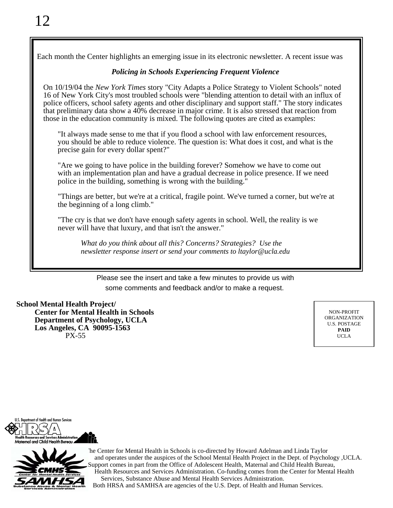Each month the Center highlights an emerging issue in its electronic newsletter. A recent issue was

### *Policing in Schools Experiencing Frequent Violence*

On 10/19/04 the *New York Times* story "City Adapts a Police Strategy to Violent Schools" noted 16 of New York City's most troubled schools were "blending attention to detail with an influx of police officers, school safety agents and other disciplinary and support staff." The story indicates that preliminary data show a 40% decrease in major crime. It is also stressed that reaction from those in the education community is mixed. The following quotes are cited as examples:

"It always made sense to me that if you flood a school with law enforcement resources, you should be able to reduce violence. The question is: What does it cost, and what is the precise gain for every dollar spent?"

"Are we going to have police in the building forever? Somehow we have to come out with an implementation plan and have a gradual decrease in police presence. If we need police in the building, something is wrong with the building."

"Things are better, but we're at a critical, fragile point. We've turned a corner, but we're at the beginning of a long climb."

"The cry is that we don't have enough safety agents in school. Well, the reality is we never will have that luxury, and that isn't the answer."

*What do you think about all this? Concerns? Strategies? Use the newsletter response insert or send your comments to ltaylor@ucla.edu*

Please see the insert and take a few minutes to provide us with some comments and feedback and/or to make a request.

### **School Mental Health Project/**

**Center for Mental Health in Schools Department of Psychology, UCLA Los Angeles, CA 90095-1563** PX-55

NON-PROFIT ORGANIZATION U.S. POSTAGE **PAID** UCLA

nt of Health and Human Services D Λ



 The Center for Mental Health in Schools is co-directed by Howard Adelman and Linda Taylor and operates under the auspices of the School Mental Health Project in the Dept. of Psychology ,UCLA. upport comes in part from the Office of Adolescent Health, Maternal and Child Health Bureau, Health Resources and Services Administration. Co-funding comes from the Center for Mental Health Services, Substance Abuse and Mental Health Services Administration.

Both HRSA and SAMHSA are agencies of the U.S. Dept. of Health and Human Services.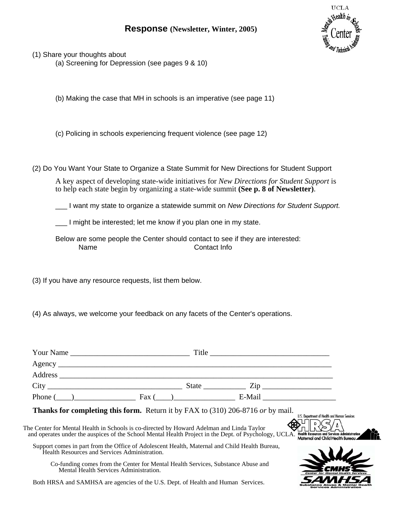### **Response (Newsletter, Winter, 2005)**



**Substance Abuse & Mental Health**<br>Services Administration

(1) Share your thoughts about

(a) Screening for Depression (see pages 9 & 10)

(b) Making the case that MH in schools is an imperative (see page 11)

(c) Policing in schools experiencing frequent violence (see page 12)

(2) Do You Want Your State to Organize a State Summit for New Directions for Student Support

A key aspect of developing state-wide initiatives for *New Directions for Student Support* is to help each state begin by organizing a state-wide summit **(See p. 8 of Newsletter)**.

\_\_\_ I want my state to organize a statewide summit on *New Directions for Student Support.* 

\_\_\_ I might be interested; let me know if you plan one in my state.

Below are some people the Center should contact to see if they are interested: Name Contact Info

(3) If you have any resource requests, list them below.

(4) As always, we welcome your feedback on any facets of the Center's operations.

| Phone $(\_\_)$ Fax $(\_\_)$ Fax $(\_\_)$ E-Mail                                                                                                                                                                                                                                             |                                                                                                                                         |
|---------------------------------------------------------------------------------------------------------------------------------------------------------------------------------------------------------------------------------------------------------------------------------------------|-----------------------------------------------------------------------------------------------------------------------------------------|
| <b>Thanks for completing this form.</b> Return it by FAX to (310) 206-8716 or by mail.<br>The Center for Mental Health in Schools is co-directed by Howard Adelman and Linda Taylor<br>and operates under the auspices of the School Mental Health Project in the Dept. of Psychology, UCLA | U.S. Department of Health and Human Services<br><b>Health Resources and Services Administration</b><br>Maternal and Child Health Bureau |
| Support comes in part from the Office of Adolescent Health, Maternal and Child Health Bureau,<br>Health Resources and Services Administration.                                                                                                                                              |                                                                                                                                         |
| Co-funding comes from the Center for Mental Health Services, Substance Abuse and<br>Mental Health Services Administration.<br>Both HRSA and SAMHSA are agencies of the U.S. Dept. of Health and Human Services.                                                                             |                                                                                                                                         |